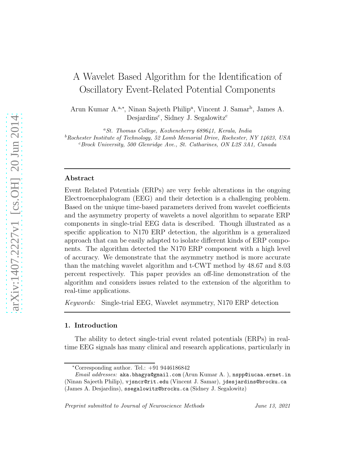# A Wavelet Based Algorithm for the Identification of Oscillatory Event-Related Potential Components

Arun Kumar A.<sup>a,∗</sup>, Ninan Sajeeth Philip<sup>a</sup>, Vincent J. Samar<sup>b</sup>, James A. Desjardins<sup>c</sup>, Sidney J. Segalowitz<sup>c</sup>

<sup>a</sup>*St. Thomas College, Kozhencherry 689641, Kerala, India* <sup>b</sup>*Rochester Institute of Technology, 52 Lomb Memorial Drive, Rochester, NY 14623, USA* <sup>c</sup>*Brock University, 500 Glenridge Ave., St. Catharines, ON L2S 3A1, Canada*

#### Abstract

Event Related Potentials (ERPs) are very feeble alterations in the ongoing Electroencephalogram (EEG) and their detection is a challenging problem. Based on the unique time-based parameters derived from wavelet coefficients and the asymmetry property of wavelets a novel algorithm to separate ERP components in single-trial EEG data is described. Though illustrated as a specific application to N170 ERP detection, the algorithm is a generalized approach that can be easily adapted to isolate different kinds of ERP components. The algorithm detected the N170 ERP component with a high level of accuracy. We demonstrate that the asymmetry method is more accurate than the matching wavelet algorithm and t-CWT method by 48.67 and 8.03 percent respectively. This paper provides an off-line demonstration of the algorithm and considers issues related to the extension of the algorithm to real-time applications.

*Keywords:* Single-trial EEG, Wavelet asymmetry, N170 ERP detection

## 1. Introduction

The ability to detect single-trial event related potentials (ERPs) in realtime EEG signals has many clinical and research applications, particularly in

*Preprint submitted to Journal of Neuroscience Methods June 13, 2021*

 $*$ Corresponding author. Tel.:  $+91\,9446186842$ 

*Email addresses:* aka.bhagya@gmail.com (Arun Kumar A. ), nspp@iucaa.ernet.in (Ninan Sajeeth Philip), vjsncr@rit.edu (Vincent J. Samar), jdesjardins@brocku.ca (James A. Desjardins), ssegalowitz@brocku.ca (Sidney J. Segalowitz)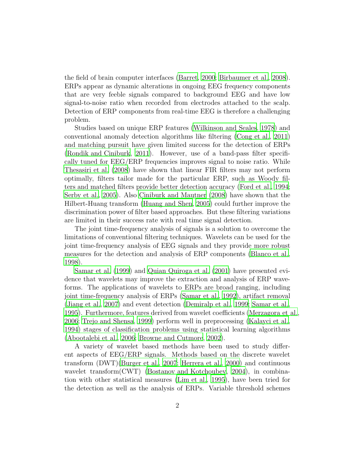the field of brain computer interfaces [\(Barret, 2000](#page-18-0); [Birbaumer et al.](#page-19-0), [2008\)](#page-19-0). ERPs appear as dynamic alterations in ongoing EEG frequency components that are very feeble signals compared to background EEG and have low signal-to-noise ratio when recorded from electrodes attached to the scalp. Detection of ERP components from real-time EEG is therefore a challenging problem.

Studies based on unique ERP features [\(Wilkinson and Seales](#page-23-0), [1978](#page-23-0)) and conventional anomaly detection algorithms like filtering [\(Cong et al., 2011\)](#page-19-1) and matching pursuit have given limited success for the detection of ERPs [\(Rondik and Ciniburk](#page-22-0), [2011\)](#page-22-0). However, use of a band-pass filter specifically tuned for EEG/ERP frequencies improves signal to noise ratio. While [Thesasiri et al. \(2008\)](#page-22-1) have shown that linear FIR filters may not perform optimally, filters tailor made for the particular ERP, such as Woody filters and matched filters provide better detection accuracy [\(Ford et al.](#page-20-0), [1994](#page-20-0); [Serby et al.](#page-22-2), [2005\)](#page-22-2). Also [Ciniburk and Mautner \(2008\)](#page-19-2) have shown that the Hilbert-Huang transform [\(Huang and Shen, 2005](#page-21-0)) could further improve the discrimination power of filter based approaches. But these filtering variations are limited in their success rate with real time signal detection.

The joint time-frequency analysis of signals is a solution to overcome the limitations of conventional filtering techniques. Wavelets can be used for the joint time-frequency analysis of EEG signals and they provide more robust measures for the detection and analysis of ERP components [\(Blanco et al.](#page-19-3), [1998](#page-19-3)).

[Samar et al. \(1999\)](#page-22-3) and [Quian Quiroga et al. \(2001\)](#page-22-4) have presented evidence that wavelets may improve the extraction and analysis of ERP waveforms. The applications of wavelets to ERPs are broad ranging, including joint time-frequency analysis of ERPs [\(Samar et al., 1992\)](#page-22-5), artifact removal [\(Jiang et al., 2007](#page-21-1)) and event detection [\(Demiralp et al., 1999;](#page-20-1) [Samar](#page-22-6) et al., [1995](#page-22-6)). Furthermore, features derived from wavelet coefficients [\(Merzagora et al.,](#page-21-2) [2006](#page-21-2); [Trejo and Shensa, 1999\)](#page-23-1) perform well in preprocessing [\(Kalayci et al.](#page-21-3), [1994](#page-21-3)) stages of classification problems using statistical learning algorithms [\(Abootalebi et al., 2006](#page-18-1); [Browne and Cutmore](#page-19-4), [2002\)](#page-19-4).

A variety of wavelet based methods have been used to study different aspects of EEG/ERP signals. Methods based on the discrete wavelet transform (DWT)[\(Burger et al., 2007](#page-19-5); [Herrera et al., 2000](#page-20-2)) and continuous wavelet transform(CWT) [\(Bostanov and Kotchoubey](#page-19-6), [2004](#page-19-6)), in combination with other statistical measures [\(Lim et al.](#page-21-4), [1995\)](#page-21-4), have been tried for the detection as well as the analysis of ERPs. Variable threshold schemes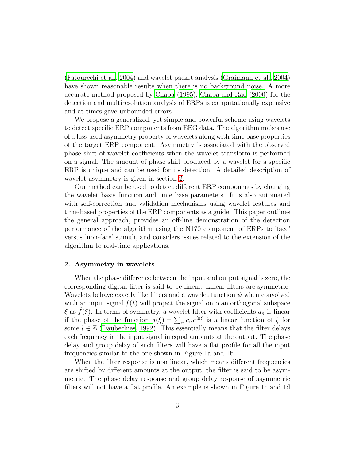[\(Fatourechi et al.](#page-20-3), [2004\)](#page-20-3) and wavelet packet analysis [\(Graimann et](#page-20-4) al., [2004\)](#page-20-4) have shown reasonable results when there is no background noise. A more accurate method proposed by [Chapa \(1995](#page-19-7)); [Chapa and Rao \(2000](#page-19-8)) for the detection and multiresolution analysis of ERPs is computationally expensive and at times gave unbounded errors.

We propose a generalized, yet simple and powerful scheme using wavelets to detect specific ERP components from EEG data. The algorithm makes use of a less-used asymmetry property of wavelets along with time base properties of the target ERP component. Asymmetry is associated with the observed phase shift of wavelet coefficients when the wavelet transform is performed on a signal. The amount of phase shift produced by a wavelet for a specific ERP is unique and can be used for its detection. A detailed description of wavelet asymmetry is given in section [2.](#page-2-0)

Our method can be used to detect different ERP components by changing the wavelet basis function and time base parameters. It is also automated with self-correction and validation mechanisms using wavelet features and time-based properties of the ERP components as a guide. This paper outlines the general approach, provides an off-line demonstration of the detection performance of the algorithm using the N170 component of ERPs to 'face' versus 'non-face' stimuli, and considers issues related to the extension of the algorithm to real-time applications.

## <span id="page-2-0"></span>2. Asymmetry in wavelets

When the phase difference between the input and output signal is zero, the corresponding digital filter is said to be linear. Linear filters are symmetric. Wavelets behave exactly like filters and a wavelet function  $\psi$  when convolved with an input signal  $f(t)$  will project the signal onto an orthogonal subspace  $\xi$  as  $\hat{f}(\xi)$ . In terms of symmetry, a wavelet filter with coefficients  $a_n$  is linear if the phase of the function  $a(\xi) = \sum_n a_n e^{in\xi}$  is a linear function of  $\xi$  for some  $l \in \mathbb{Z}$  [\(Daubechies](#page-20-5), [1992\)](#page-20-5). This essentially means that the filter delays each frequency in the input signal in equal amounts at the output. The phase delay and group delay of such filters will have a flat profile for all the input frequencies similar to the one shown in Figure 1a and 1b .

When the filter response is non linear, which means different frequencies are shifted by different amounts at the output, the filter is said to be asymmetric. The phase delay response and group delay response of asymmetric filters will not have a flat profile. An example is shown in Figure 1c and 1d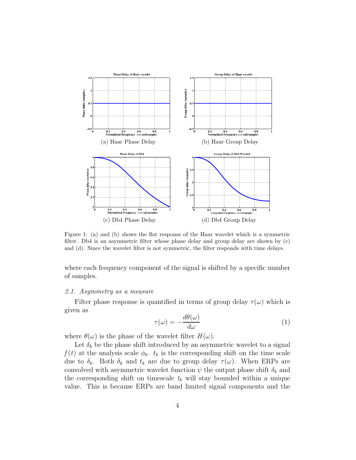

Figure 1: (a) and (b) shows the flat response of the Haar wavelet which is a symmetric filter. Db4 is an asymmetric filter whose phase delay and group delay are shown by (c) and (d). Since the wavelet filter is not symmetric, the filter responds with time delays.

where each frequency component of the signal is shifted by a specific number of samples.

#### *2.1. Asymmetry as a measure*

Filter phase response is quantified in terms of group delay  $\tau(\omega)$  which is given as

$$
\tau(\omega) = -\frac{d\theta(\omega)}{d\omega} \tag{1}
$$

where  $\theta(\omega)$  is the phase of the wavelet filter  $H(\omega)$ .

Let  $\delta_k$  be the phase shift introduced by an asymmetric wavelet to a signal  $f(t)$  at the analysis scale  $\phi_k$ .  $t_k$  is the corresponding shift on the time scale due to  $\delta_k$ . Both  $\delta_k$  and  $t_k$  are due to group delay  $\tau(\omega)$ . When ERPs are convolved with asymmetric wavelet function  $\psi$  the output phase shift  $\delta_k$  and the corresponding shift on timescale  $t_k$  will stay bounded within a unique value. This is because ERPs are band limited signal components and the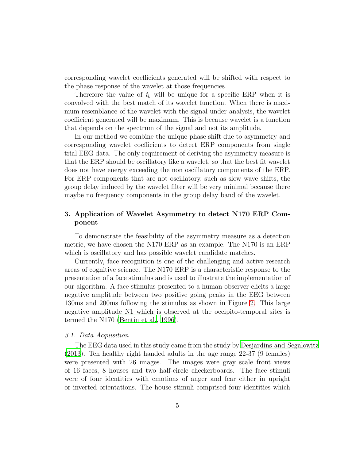corresponding wavelet coefficients generated will be shifted with respect to the phase response of the wavelet at those frequencies.

Therefore the value of  $t_k$  will be unique for a specific ERP when it is convolved with the best match of its wavelet function. When there is maximum resemblance of the wavelet with the signal under analysis, the wavelet coefficient generated will be maximum. This is because wavelet is a function that depends on the spectrum of the signal and not its amplitude.

In our method we combine the unique phase shift due to asymmetry and corresponding wavelet coefficients to detect ERP components from single trial EEG data. The only requirement of deriving the asymmetry measure is that the ERP should be oscillatory like a wavelet, so that the best fit wavelet does not have energy exceeding the non oscillatory components of the ERP. For ERP components that are not oscillatory, such as slow wave shifts, the group delay induced by the wavelet filter will be very minimal because there maybe no frequency components in the group delay band of the wavelet.

## 3. Application of Wavelet Asymmetry to detect N170 ERP Component

To demonstrate the feasibility of the asymmetry measure as a detection metric, we have chosen the N170 ERP as an example. The N170 is an ERP which is oscillatory and has possible wavelet candidate matches.

Currently, face recognition is one of the challenging and active research areas of cognitive science. The N170 ERP is a characteristic response to the presentation of a face stimulus and is used to illustrate the implementation of our algorithm. A face stimulus presented to a human observer elicits a large negative amplitude between two positive going peaks in the EEG between 130ms and 200ms following the stimulus as shown in Figure [2.](#page-5-0) This large negative amplitude N1 which is observed at the occipito-temporal sites is termed the N170 [\(Bentin et al.](#page-18-2), [1996\)](#page-18-2).

## *3.1. Data Acquisition*

The EEG data used in this study came from the study by [Desjardins and Segalowitz](#page-20-6) [\(2013\)](#page-20-6). Ten healthy right handed adults in the age range 22-37 (9 females) were presented with 26 images. The images were gray scale front views of 16 faces, 8 houses and two half-circle checkerboards. The face stimuli were of four identities with emotions of anger and fear either in upright or inverted orientations. The house stimuli comprised four identities which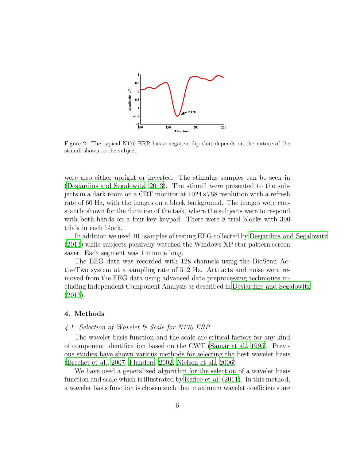

<span id="page-5-0"></span>Figure 2: The typical N170 ERP has a negative dip that depends on the nature of the stimuli shown to the subject.

were also either upright or inverted. The stimulus samples can be seen in [\(Desjardins and Segalowitz](#page-20-6), [2013\)](#page-20-6). The stimuli were presented to the subjects in a dark room on a CRT monitor at  $1024\times768$  resolution with a refresh rate of 60 Hz, with the images on a black background. The images were constantly shown for the duration of the task, where the subjects were to respond with both hands on a four-key keypad. There were 8 trial blocks with 300 trials in each block.

In addition we used 400 samples of resting EEG collected by [Desjardins and Segalowitz](#page-20-6) [\(2013\)](#page-20-6) while subjects passively watched the Windows XP star pattern screen saver. Each segment was 1 minute long.

The EEG data was recorded with 128 channels using the BioSemi ActiveTwo system at a sampling rate of 512 Hz. Artifacts and noise were removed from the EEG data using advanced data preprocessing techniques including Independent Component Analysis as described in Desjardins [and Segalowitz](#page-20-6) [\(2013\)](#page-20-6).

#### <span id="page-5-1"></span>4. Methods

#### *4.1. Selection of Wavelet & Scale for N170 ERP*

The wavelet basis function and the scale are critical factors for any kind of component identification based on the CWT [\(Samar et al.](#page-22-6), [1995\)](#page-22-6). Previous studies have shown various methods for selecting the best wavelet basis [\(Brechet et al., 2007](#page-19-9); [Flanders](#page-20-7), [2002;](#page-20-7) [Nielsen et al., 2006](#page-21-5)).

We have used a generalized algorithm for the selection of a wavelet basis function and scale which is illustrated by [Rafiee et al. \(2011\)](#page-22-7). In this method, a wavelet basis function is chosen such that maximum wavelet coefficients are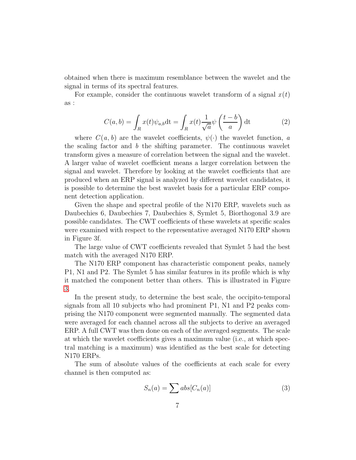obtained when there is maximum resemblance between the wavelet and the signal in terms of its spectral features.

For example, consider the continuous wavelet transform of a signal  $x(t)$ as :

$$
C(a,b) = \int_{R} x(t)\psi_{a,b} dt = \int_{R} x(t)\frac{1}{\sqrt{a}}\psi\left(\frac{t-b}{a}\right) dt
$$
 (2)

where  $C(a, b)$  are the wavelet coefficients,  $\psi(\cdot)$  the wavelet function, *a* the scaling factor and *b* the shifting parameter. The continuous wavelet transform gives a measure of correlation between the signal and the wavelet. A larger value of wavelet coefficient means a larger correlation between the signal and wavelet. Therefore by looking at the wavelet coefficients that are produced when an ERP signal is analyzed by different wavelet candidates, it is possible to determine the best wavelet basis for a particular ERP component detection application.

Given the shape and spectral profile of the N170 ERP, wavelets such as Daubechies 6, Daubechies 7, Daubechies 8, Symlet 5, Biorthogonal 3.9 are possible candidates. The CWT coefficients of these wavelets at specific scales were examined with respect to the representative averaged N170 ERP shown in Figure 3f.

The large value of CWT coefficients revealed that Symlet 5 had the best match with the averaged N170 ERP.

The N170 ERP component has characteristic component peaks, namely P1, N1 and P2. The Symlet 5 has similar features in its profile which is why it matched the component better than others. This is illustrated in Figure [3.](#page-7-0)

In the present study, to determine the best scale, the occipito-temporal signals from all 10 subjects who had prominent P1, N1 and P2 peaks comprising the N170 component were segmented manually. The segmented data were averaged for each channel across all the subjects to derive an averaged ERP. A full CWT was then done on each of the averaged segments. The scale at which the wavelet coefficients gives a maximum value (i.e., at which spectral matching is a maximum) was identified as the best scale for detecting N170 ERPs.

The sum of absolute values of the coefficients at each scale for every channel is then computed as:

$$
S_n(a) = \sum abs[C_n(a)] \tag{3}
$$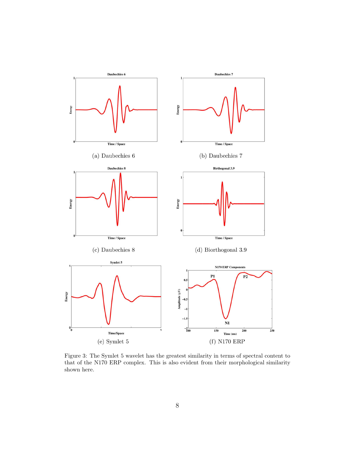

<span id="page-7-0"></span>Figure 3: The Symlet 5 wavelet has the greatest similarity in terms of spectral content to that of the N170 ERP complex. This is also evident from their morphological similarity shown here.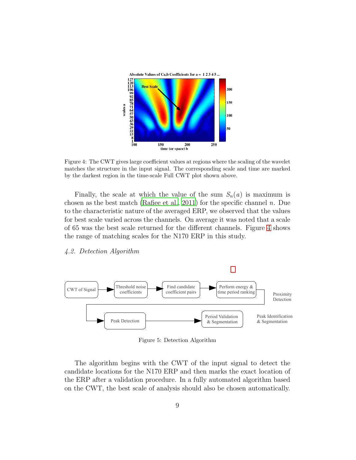

<span id="page-8-0"></span>Figure 4: The CWT gives large coefficient values at regions where the scaling of the wavelet matches the structure in the input signal. The corresponding scale and time are marked by the darkest region in the time-scale Full CWT plot shown above.

Finally, the scale at which the value of the sum  $S_n(a)$  is maximum is chosen as the best match [\(Rafiee et al.](#page-22-7), [2011](#page-22-7)) for the specific channel *n*. Due to the characteristic nature of the averaged ERP, we observed that the values for best scale varied across the channels. On average it was noted that a scale of 65 was the best scale returned for the different channels. Figure [4](#page-8-0) shows the range of matching scales for the N170 ERP in this study.

## *4.2. Detection Algorithm*



<span id="page-8-1"></span>Figure 5: Detection Algorithm

The algorithm begins with the CWT of the input signal to detect the candidate locations for the N170 ERP and then marks the exact location of the ERP after a validation procedure. In a fully automated algorithm based on the CWT, the best scale of analysis should also be chosen automatically.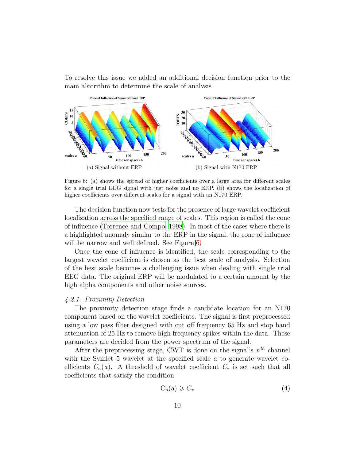To resolve this issue we added an additional decision function prior to the main algorithm to determine the scale of analysis.



<span id="page-9-0"></span>Figure 6: (a) shows the spread of higher coefficients over a large area for different scales for a single trial EEG signal with just noise and no ERP. (b) shows the localization of higher coefficients over different scales for a signal with an N170 ERP.

The decision function now tests for the presence of large wavelet coefficient localization across the specified range of scales. This region is called the cone of influence [\(Torrence and Compo](#page-23-2), [1998\)](#page-23-2). In most of the cases where there is a highlighted anomaly similar to the ERP in the signal, the cone of influence will be narrow and well defined. See Figure [6.](#page-9-0)

Once the cone of influence is identified, the scale corresponding to the largest wavelet coefficient is chosen as the best scale of analysis. Selection of the best scale becomes a challenging issue when dealing with single trial EEG data. The original ERP will be modulated to a certain amount by the high alpha components and other noise sources.

#### *4.2.1. Proximity Detection*

The proximity detection stage finds a candidate location for an N170 component based on the wavelet coefficients. The signal is first preprocessed using a low pass filter designed with cut off frequency 65 Hz and stop band attenuation of 25 Hz to remove high frequency spikes within the data. These parameters are decided from the power spectrum of the signal.

After the preprocessing stage, CWT is done on the signal's  $n^{th}$  channel with the Symlet 5 wavelet at the specified scale  $a$  to generate wavelet coefficients  $C_n(a)$ . A threshold of wavelet coefficient  $C_\tau$  is set such that all coefficients that satisfy the condition

<span id="page-9-1"></span>
$$
C_n(a) \geqslant C_\tau \tag{4}
$$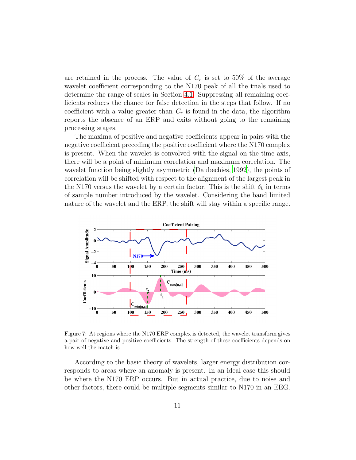are retained in the process. The value of  $C<sub>\tau</sub>$  is set to 50% of the average wavelet coefficient corresponding to the N170 peak of all the trials used to determine the range of scales in Section [4.1.](#page-5-1) Suppressing all remaining coefficients reduces the chance for false detection in the steps that follow. If no coefficient with a value greater than  $C<sub>\tau</sub>$  is found in the data, the algorithm reports the absence of an ERP and exits without going to the remaining processing stages.

The maxima of positive and negative coefficients appear in pairs with the negative coefficient preceding the positive coefficient where the N170 complex is present. When the wavelet is convolved with the signal on the time axis, there will be a point of minimum correlation and maximum correlation. The wavelet function being slightly asymmetric [\(Daubechies, 1992](#page-20-5)), the points of correlation will be shifted with respect to the alignment of the largest peak in the N170 versus the wavelet by a certain factor. This is the shift  $\delta_k$  in terms of sample number introduced by the wavelet. Considering the band limited nature of the wavelet and the ERP, the shift will stay within a specific range.



<span id="page-10-0"></span>Figure 7: At regions where the N170 ERP complex is detected, the wavelet transform gives a pair of negative and positive coefficients. The strength of these coefficients depends on how well the match is.

According to the basic theory of wavelets, larger energy distribution corresponds to areas where an anomaly is present. In an ideal case this should be where the N170 ERP occurs. But in actual practice, due to noise and other factors, there could be multiple segments similar to N170 in an EEG.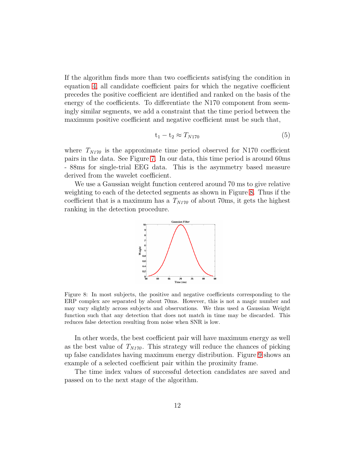If the algorithm finds more than two coefficients satisfying the condition in equation [4,](#page-9-1) all candidate coefficient pairs for which the negative coefficient precedes the positive coefficient are identified and ranked on the basis of the energy of the coefficients. To differentiate the N170 component from seemingly similar segments, we add a constraint that the time period between the maximum positive coefficient and negative coefficient must be such that,

$$
t_1 - t_2 \approx T_{N170} \tag{5}
$$

where  $T_{N170}$  is the approximate time period observed for N170 coefficient pairs in the data. See Figure [7.](#page-10-0) In our data, this time period is around 60ms - 88ms for single-trial EEG data. This is the asymmetry based measure derived from the wavelet coefficient.

We use a Gaussian weight function centered around 70 ms to give relative weighting to each of the detected segments as shown in Figure [8.](#page-11-0) Thus if the coefficient that is a maximum has a  $T_{N170}$  of about 70ms, it gets the highest ranking in the detection procedure.



<span id="page-11-0"></span>Figure 8: In most subjects, the positive and negative coefficients corresponding to the ERP complex are separated by about 70ms. However, this is not a magic number and may vary slightly across subjects and observations. We thus used a Gaussian Weight function such that any detection that does not match in time may be discarded. This reduces false detection resulting from noise when SNR is low.

In other words, the best coefficient pair will have maximum energy as well as the best value of  $T_{N170}$ . This strategy will reduce the chances of picking up false candidates having maximum energy distribution. Figure [9](#page-12-0) shows an example of a selected coefficient pair within the proximity frame.

The time index values of successful detection candidates are saved and passed on to the next stage of the algorithm.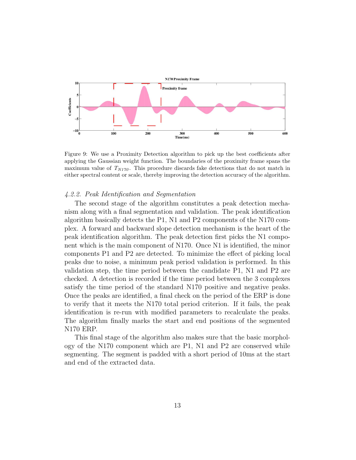

<span id="page-12-0"></span>Figure 9: We use a Proximity Detection algorithm to pick up the best coefficients after applying the Gaussian weight function. The boundaries of the proximity frame spans the maximum value of  $T_{N170}$ . This procedure discards fake detections that do not match in either spectral content or scale, thereby improving the detection accuracy of the algorithm.

#### *4.2.2. Peak Identification and Segmentation*

The second stage of the algorithm constitutes a peak detection mechanism along with a final segmentation and validation. The peak identification algorithm basically detects the P1, N1 and P2 components of the N170 complex. A forward and backward slope detection mechanism is the heart of the peak identification algorithm. The peak detection first picks the N1 component which is the main component of N170. Once N1 is identified, the minor components P1 and P2 are detected. To minimize the effect of picking local peaks due to noise, a minimum peak period validation is performed. In this validation step, the time period between the candidate P1, N1 and P2 are checked. A detection is recorded if the time period between the 3 complexes satisfy the time period of the standard N170 positive and negative peaks. Once the peaks are identified, a final check on the period of the ERP is done to verify that it meets the N170 total period criterion. If it fails, the peak identification is re-run with modified parameters to recalculate the peaks. The algorithm finally marks the start and end positions of the segmented N170 ERP.

This final stage of the algorithm also makes sure that the basic morphology of the N170 component which are P1, N1 and P2 are conserved while segmenting. The segment is padded with a short period of 10ms at the start and end of the extracted data.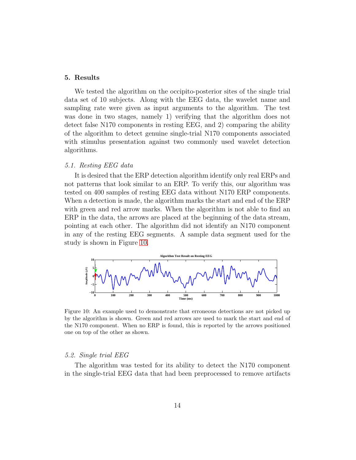### 5. Results

We tested the algorithm on the occipito-posterior sites of the single trial data set of 10 subjects. Along with the EEG data, the wavelet name and sampling rate were given as input arguments to the algorithm. The test was done in two stages, namely 1) verifying that the algorithm does not detect false N170 components in resting EEG, and 2) comparing the ability of the algorithm to detect genuine single-trial N170 components associated with stimulus presentation against two commonly used wavelet detection algorithms.

## *5.1. Resting EEG data*

It is desired that the ERP detection algorithm identify only real ERPs and not patterns that look similar to an ERP. To verify this, our algorithm was tested on 400 samples of resting EEG data without N170 ERP components. When a detection is made, the algorithm marks the start and end of the ERP with green and red arrow marks. When the algorithm is not able to find an ERP in the data, the arrows are placed at the beginning of the data stream, pointing at each other. The algorithm did not identify an N170 component in any of the resting EEG segments. A sample data segment used for the study is shown in Figure [10.](#page-13-0)



<span id="page-13-0"></span>Figure 10: An example used to demonstrate that erroneous detections are not picked up by the algorithm is shown. Green and red arrows are used to mark the start and end of the N170 component. When no ERP is found, this is reported by the arrows positioned one on top of the other as shown.

#### *5.2. Single trial EEG*

The algorithm was tested for its ability to detect the N170 component in the single-trial EEG data that had been preprocessed to remove artifacts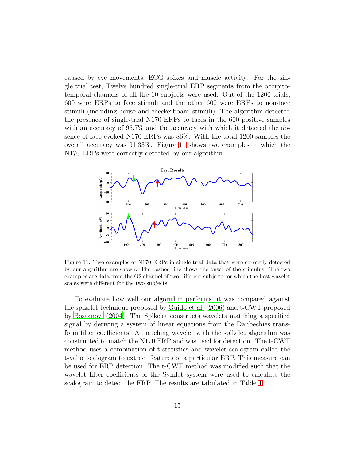caused by eye movements, ECG spikes and muscle activity. For the single trial test, Twelve hundred single-trial ERP segments from the occipitotemporal channels of all the 10 subjects were used. Out of the 1200 trials, 600 were ERPs to face stimuli and the other 600 were ERPs to non-face stimuli (including house and checkerboard stimuli). The algorithm detected the presence of single-trial N170 ERPs to faces in the 600 positive samples with an accuracy of 96.7% and the accuracy with which it detected the absence of face-evoked N170 ERPs was 86%. With the total 1200 samples the overall accuracy was 91.33%. Figure [11](#page-14-0) shows two examples in which the N170 ERPs were correctly detected by our algorithm.



<span id="page-14-0"></span>Figure 11: Two examples of N170 ERPs in single trial data that were correctly detected by our algorithm are shown. The dashed line shows the onset of the stimulus. The two examples are data from the O2 channel of two different subjects for which the best wavelet scales were different for the two subjects.

To evaluate how well our algorithm performs, it was compared against the spikelet technique proposed by [Guido et al. \(2006](#page-20-8)) and t-CWT proposed by [Bostanov \(2004\)](#page-19-10). The Spikelet constructs wavelets matching a specified signal by deriving a system of linear equations from the Daubechies transform filter coefficients. A matching wavelet with the spikelet algorithm was constructed to match the N170 ERP and was used for detection. The t-CWT method uses a combination of t-statistics and wavelet scalogram called the t-value scalogram to extract features of a particular ERP. This measure can be used for ERP detection. The t-CWT method was modified such that the wavelet filter coefficients of the Symlet system were used to calculate the scalogram to detect the ERP. The results are tabulated in Table [1.](#page-15-0)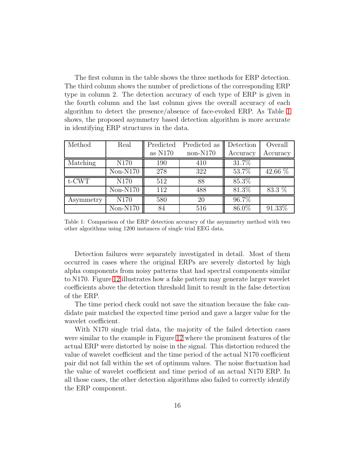The first column in the table shows the three methods for ERP detection. The third column shows the number of predictions of the corresponding ERP type in column 2. The detection accuracy of each type of ERP is given in the fourth column and the last column gives the overall accuracy of each algorithm to detect the presence/absence of face-evoked ERP. As Table [1](#page-15-0) shows, the proposed asymmetry based detection algorithm is more accurate in identifying ERP structures in the data.

| Method    | Real       | Predicted | Predicted as | Detection | Overall   |
|-----------|------------|-----------|--------------|-----------|-----------|
|           |            | as $N170$ | $non-N170$   | Accuracy  | Accuracy  |
| Matching  | N170       | 190       | 410          | 31.7%     |           |
|           | $Non-N170$ | 278       | 322          | 53.7%     | 42.66 %   |
| $t$ -CWT  | N170       | 512       | 88           | $85.3\%$  |           |
|           | $Non-N170$ | 112       | 488          | 81.3%     | 83.3 %    |
| Asymmetry | N170       | 580       | 20           | 96.7%     |           |
|           | $Non-N170$ | 84        | 516          | 86.0%     | $91.33\%$ |

<span id="page-15-0"></span>Table 1: Comparison of the ERP detection accuracy of the asymmetry method with two other algorithms using 1200 instances of single trial EEG data.

Detection failures were separately investigated in detail. Most of them occurred in cases where the original ERPs are severely distorted by high alpha components from noisy patterns that had spectral components similar to N170. Figure [12](#page-16-0) illustrates how a fake pattern may generate larger wavelet coefficients above the detection threshold limit to result in the false detection of the ERP.

The time period check could not save the situation because the fake candidate pair matched the expected time period and gave a larger value for the wavelet coefficient.

With N170 single trial data, the majority of the failed detection cases were similar to the example in Figure [12](#page-16-0) where the prominent features of the actual ERP were distorted by noise in the signal. This distortion reduced the value of wavelet coefficient and the time period of the actual N170 coefficient pair did not fall within the set of optimum values. The noise fluctuation had the value of wavelet coefficient and time period of an actual N170 ERP. In all those cases, the other detection algorithms also failed to correctly identify the ERP component.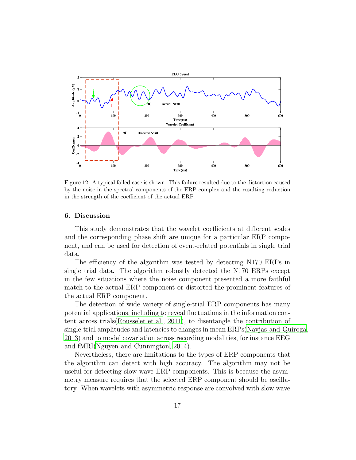

<span id="page-16-0"></span>Figure 12: A typical failed case is shown. This failure resulted due to the distortion caused by the noise in the spectral components of the ERP complex and the resulting reduction in the strength of the coefficient of the actual ERP.

#### 6. Discussion

This study demonstrates that the wavelet coefficients at different scales and the corresponding phase shift are unique for a particular ERP component, and can be used for detection of event-related potentials in single trial data.

The efficiency of the algorithm was tested by detecting N170 ERPs in single trial data. The algorithm robustly detected the N170 ERPs except in the few situations where the noise component presented a more faithful match to the actual ERP component or distorted the prominent features of the actual ERP component.

The detection of wide variety of single-trial ERP components has many potential applications, including to reveal fluctuations in the information content across trials[\(Rousselet et al.](#page-22-8), [2011\)](#page-22-8), to disentangle the contribution of single-trial amplitudes and latencies to changes in mean ERPs[\(Navjas and Quiroga,](#page-21-6) [2013](#page-21-6)) and to model covariation across recording modalities, for instance EEG and fMRI[\(Nguyen and Cunnington](#page-21-7), [2014\)](#page-21-7).

Nevertheless, there are limitations to the types of ERP components that the algorithm can detect with high accuracy. The algorithm may not be useful for detecting slow wave ERP components. This is because the asymmetry measure requires that the selected ERP component should be oscillatory. When wavelets with asymmetric response are convolved with slow wave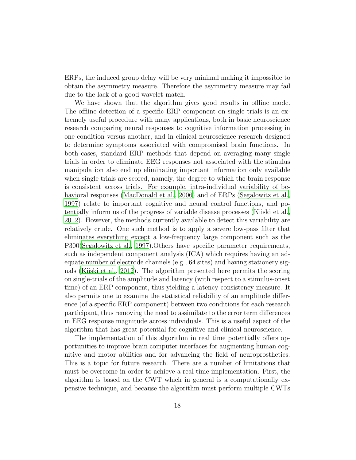ERPs, the induced group delay will be very minimal making it impossible to obtain the asymmetry measure. Therefore the asymmetry measure may fail due to the lack of a good wavelet match.

We have shown that the algorithm gives good results in offline mode. The offline detection of a specific ERP component on single trials is an extremely useful procedure with many applications, both in basic neuroscience research comparing neural responses to cognitive information processing in one condition versus another, and in clinical neuroscience research designed to determine symptoms associated with compromised brain functions. In both cases, standard ERP methods that depend on averaging many single trials in order to eliminate EEG responses not associated with the stimulus manipulation also end up eliminating important information only available when single trials are scored, namely, the degree to which the brain response is consistent across trials. For example, intra-individual variability of behavioral responses [\(MacDonald et al.](#page-21-8), [2006\)](#page-21-8) and of ERPs [\(Segalowitz et al.](#page-22-9), [1997](#page-22-9)) relate to important cognitive and neural control functions, and potentially inform us of the progress of variable disease processes [\(Kiiski et al.](#page-21-9), [2012](#page-21-9)). However, the methods currently available to detect this variability are relatively crude. One such method is to apply a severe low-pass filter that eliminates everything except a low-frequency large component such as the P300[\(Segalowitz et al., 1997](#page-22-9)).Others have specific parameter requirements, such as independent component analysis (ICA) which requires having an adequate number of electrode channels (e.g., 64 sites) and having stationery signals [\(Kiiski et al.](#page-21-9), [2012](#page-21-9)). The algorithm presented here permits the scoring on single-trials of the amplitude and latency (with respect to a stimulus-onset time) of an ERP component, thus yielding a latency-consistency measure. It also permits one to examine the statistical reliability of an amplitude difference (of a specific ERP component) between two conditions for each research participant, thus removing the need to assimilate to the error term differences in EEG response magnitude across individuals. This is a useful aspect of the algorithm that has great potential for cognitive and clinical neuroscience.

The implementation of this algorithm in real time potentially offers opportunities to improve brain computer interfaces for augmenting human cognitive and motor abilities and for advancing the field of neuroprosthetics. This is a topic for future research. There are a number of limitations that must be overcome in order to achieve a real time implementation. First, the algorithm is based on the CWT which in general is a computationally expensive technique, and because the algorithm must perform multiple CWTs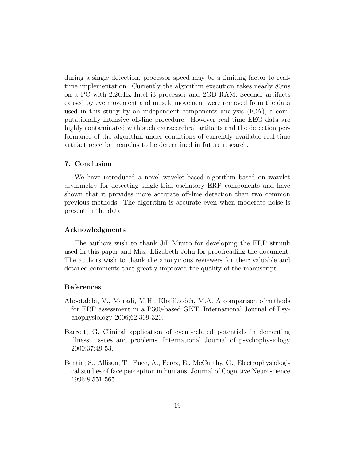during a single detection, processor speed may be a limiting factor to realtime implementation. Currently the algorithm execution takes nearly 80ms on a PC with 2.2GHz Intel i3 processor and 2GB RAM. Second, artifacts caused by eye movement and muscle movement were removed from the data used in this study by an independent components analysis (ICA), a computationally intensive off-line procedure. However real time EEG data are highly contaminated with such extracerebral artifacts and the detection performance of the algorithm under conditions of currently available real-time artifact rejection remains to be determined in future research.

#### 7. Conclusion

We have introduced a novel wavelet-based algorithm based on wavelet asymmetry for detecting single-trial oscilatory ERP components and have shown that it provides more accurate off-line detection than two common previous methods. The algorithm is accurate even when moderate noise is present in the data.

## Acknowledgments

The authors wish to thank Jill Munro for developing the ERP stimuli used in this paper and Mrs. Elizabeth John for proofreading the document. The authors wish to thank the anonymous reviewers for their valuable and detailed comments that greatly improved the quality of the manuscript.

## References

- <span id="page-18-1"></span>Abootalebi, V., Moradi, M.H., Khalilzadeh, M.A. A comparison ofmethods for ERP assessment in a P300-based GKT. International Journal of Psychophysiology 2006;62:309-320.
- <span id="page-18-0"></span>Barrett, G. Clinical application of event-related potentials in dementing illness: issues and problems. International Journal of psychophysiology 2000;37:49-53.
- <span id="page-18-2"></span>Bentin, S., Allison, T., Puce, A., Perez, E., McCarthy, G., Electrophysiological studies of face perception in humans. Journal of Cognitive Neuroscience 1996;8:551-565.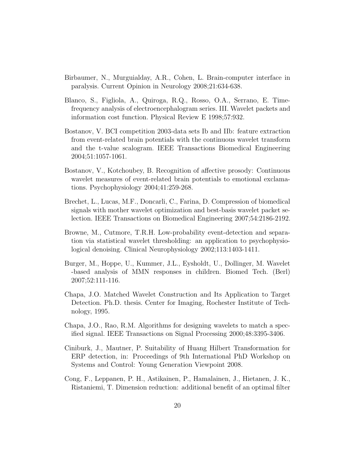- <span id="page-19-0"></span>Birbaumer, N., Murguialday, A.R., Cohen, L. Brain-computer interface in paralysis. Current Opinion in Neurology 2008;21:634-638.
- <span id="page-19-3"></span>Blanco, S., Figliola, A., Quiroga, R.Q., Rosso, O.A., Serrano, E. Timefrequency analysis of electroencephalogram series. III. Wavelet packets and information cost function. Physical Review E 1998;57:932.
- <span id="page-19-10"></span>Bostanov, V. BCI competition 2003-data sets Ib and IIb: feature extraction from event-related brain potentials with the continuous wavelet transform and the t-value scalogram. IEEE Transactions Biomedical Engineering 2004;51:1057-1061.
- <span id="page-19-6"></span>Bostanov, V., Kotchoubey, B. Recognition of affective prosody: Continuous wavelet measures of event-related brain potentials to emotional exclamations. Psychophysiology 2004;41:259-268.
- <span id="page-19-9"></span>Brechet, L., Lucas, M.F., Doncarli, C., Farina, D. Compression of biomedical signals with mother wavelet optimization and best-basis wavelet packet selection. IEEE Transactions on Biomedical Engineering 2007;54:2186-2192.
- <span id="page-19-4"></span>Browne, M., Cutmore, T.R.H. Low-probability event-detection and separation via statistical wavelet thresholding: an application to psychophysiological denoising. Clinical Neurophysiology 2002;113:1403-1411.
- <span id="page-19-5"></span>Burger, M., Hoppe, U., Kummer, J.L., Eysholdt, U., Dollinger, M. Wavelet -based analysis of MMN responses in children. Biomed Tech. (Berl) 2007;52:111-116.
- <span id="page-19-7"></span>Chapa, J.O. Matched Wavelet Construction and Its Application to Target Detection. Ph.D. thesis. Center for Imaging, Rochester Institute of Technology, 1995.
- <span id="page-19-8"></span>Chapa, J.O., Rao, R.M. Algorithms for designing wavelets to match a specified signal. IEEE Transactions on Signal Processing 2000;48:3395-3406.
- <span id="page-19-2"></span>Ciniburk, J., Mautner, P. Suitability of Huang Hilbert Transformation for ERP detection, in: Proceedings of 9th International PhD Workshop on Systems and Control: Young Generation Viewpoint 2008.
- <span id="page-19-1"></span>Cong, F., Leppanen, P. H., Astikainen, P., Hamalainen, J., Hietanen, J. K., Ristaniemi, T. Dimension reduction: additional benefit of an optimal filter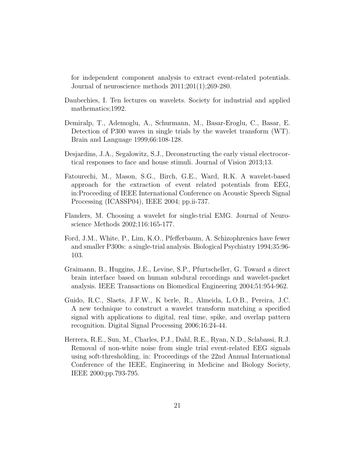for independent component analysis to extract event-related potentials. Journal of neuroscience methods 2011;201(1);269-280.

- <span id="page-20-5"></span>Daubechies, I. Ten lectures on wavelets. Society for industrial and applied mathematics;1992.
- <span id="page-20-1"></span>Demiralp, T., Ademoglu, A., Schurmann, M., Basar-Eroglu, C., Basar, E. Detection of P300 waves in single trials by the wavelet transform (WT). Brain and Language 1999;66:108-128.
- <span id="page-20-6"></span>Desjardins, J.A., Segalowitz, S.J., Deconstructing the early visual electrocortical responses to face and house stimuli. Journal of Vision 2013;13.
- <span id="page-20-3"></span>Fatourechi, M., Mason, S.G., Birch, G.E., Ward, R.K. A wavelet-based approach for the extraction of event related potentials from EEG, in:Proceeding of IEEE International Conference on Acoustic Speech Signal Processing (ICASSP04), IEEE 2004; pp.ii-737.
- <span id="page-20-7"></span>Flanders, M. Choosing a wavelet for single-trial EMG. Journal of Neuroscience Methods 2002;116:165-177.
- <span id="page-20-0"></span>Ford, J.M., White, P., Lim, K.O., Pfefferbaum, A. Schizophrenics have fewer and smaller P300s: a single-trial analysis. Biological Psychiatry 1994;35:96- 103.
- <span id="page-20-4"></span>Graimann, B., Huggins, J.E., Levine, S.P., Pfurtscheller, G. Toward a direct brain interface based on human subdural recordings and wavelet-packet analysis. IEEE Transactions on Biomedical Engineering 2004;51:954-962.
- <span id="page-20-8"></span>Guido, R.C., Slaets, J.F.W., K berle, R., Almeida, L.O.B., Pereira, J.C. A new technique to construct a wavelet transform matching a specified signal with applications to digital, real time, spike, and overlap pattern recognition. Digital Signal Processing 2006;16:24-44.
- <span id="page-20-2"></span>Herrera, R.E., Sun, M., Charles, P.J., Dahl, R.E., Ryan, N.D., Sclabassi, R.J. Removal of non-white noise from single trial event-related EEG signals using soft-thresholding, in: Proceedings of the 22nd Annual International Conference of the IEEE, Engineering in Medicine and Biology Society, IEEE 2000;pp.793-795.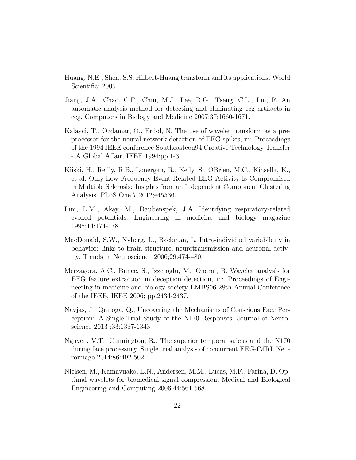- <span id="page-21-0"></span>Huang, N.E., Shen, S.S. Hilbert-Huang transform and its applications. World Scientific; 2005.
- <span id="page-21-1"></span>Jiang, J.A., Chao, C.F., Chiu, M.J., Lee, R.G., Tseng, C.L., Lin, R. An automatic analysis method for detecting and eliminating ecg artifacts in eeg. Computers in Biology and Medicine 2007;37:1660-1671.
- <span id="page-21-3"></span>Kalayci, T., Ozdamar, O., Erdol, N. The use of wavelet transform as a preprocessor for the neural network detection of EEG spikes, in: Proceedings of the 1994 IEEE conference Southeastcon94 Creative Technology Transfer - A Global Affair, IEEE 1994;pp.1-3.
- <span id="page-21-9"></span>Kiiski, H., Reilly, R.B., Lonergan, R., Kelly, S., OBrien, M.C., Kinsella, K., et al. Only Low Frequency Event-Related EEG Activity Is Compromised in Multiple Sclerosis: Insights from an Independent Component Clustering Analysis. PLoS One 7 2012;e45536.
- <span id="page-21-4"></span>Lim, L.M., Akay, M., Daubenspek, J.A. Identifying respiratory-related evoked potentials. Engineering in medicine and biology magazine 1995;14:174-178.
- <span id="page-21-8"></span>MacDonald, S.W., Nyberg, L., Backman, L. Intra-individual variabilaity in behavior: links to brain structure, neurotransmission and neuronal activity. Trends in Neuroscience 2006;29:474-480.
- <span id="page-21-2"></span>Merzagora, A.C., Bunce, S., Izzetoglu, M., Onaral, B. Wavelet analysis for EEG feature extraction in deception detection, in: Proceedings of Engineering in medicine and biology society EMBS06 28th Annual Conference of the IEEE, IEEE 2006; pp.2434-2437.
- <span id="page-21-6"></span>Navjas, J., Quiroga, Q., Uncovering the Mechanisms of Conscious Face Perception: A Single-Trial Study of the N170 Responses. Journal of Neuroscience 2013 ;33:1337-1343.
- <span id="page-21-7"></span>Nguyen, V.T., Cunnington, R., The superior temporal sulcus and the N170 during face processing: Single trial analysis of concurrent EEG-fMRI. Neuroimage 2014:86:492-502.
- <span id="page-21-5"></span>Nielsen, M., Kamavuako, E.N., Andersen, M.M., Lucas, M.F., Farina, D. Optimal wavelets for biomedical signal compression. Medical and Biological Engineering and Computing 2006;44:561-568.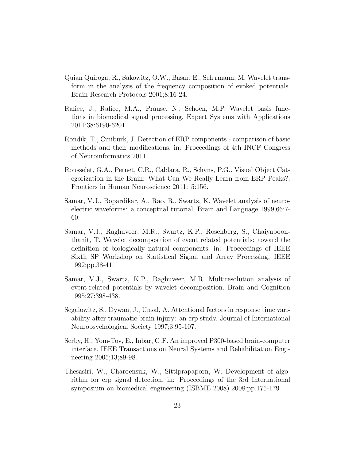- <span id="page-22-4"></span>Quian Quiroga, R., Sakowitz, O.W., Basar, E., Sch rmann, M. Wavelet transform in the analysis of the frequency composition of evoked potentials. Brain Research Protocols 2001;8:16-24.
- <span id="page-22-7"></span>Rafiee, J., Rafiee, M.A., Prause, N., Schoen, M.P. Wavelet basis functions in biomedical signal processing. Expert Systems with Applications 2011;38:6190-6201.
- <span id="page-22-0"></span>Rondik, T., Ciniburk, J. Detection of ERP components - comparison of basic methods and their modifications, in: Proceedings of 4th INCF Congress of Neuroinformatics 2011.
- <span id="page-22-8"></span>Rousselet, G.A., Pernet, C.R., Caldara, R., Schyns, P.G., Visual Object Categorization in the Brain: What Can We Really Learn from ERP Peaks?. Frontiers in Human Neuroscience 2011: 5:156.
- <span id="page-22-3"></span>Samar, V.J., Bopardikar, A., Rao, R., Swartz, K. Wavelet analysis of neuroelectric waveforms: a conceptual tutorial. Brain and Language 1999;66:7- 60.
- <span id="page-22-5"></span>Samar, V.J., Raghuveer, M.R., Swartz, K.P., Rosenberg, S., Chaiyaboonthanit, T. Wavelet decomposition of event related potentials: toward the definition of biologically natural components, in: Proceedings of IEEE Sixth SP Workshop on Statistical Signal and Array Processing, IEEE 1992:pp.38-41.
- <span id="page-22-6"></span>Samar, V.J., Swartz, K.P., Raghuveer, M.R. Multiresolution analysis of event-related potentials by wavelet decomposition. Brain and Cognition 1995;27:398-438.
- <span id="page-22-9"></span>Segalowitz, S., Dywan, J., Unsal, A. Attentional factors in response time variability after traumatic brain injury: an erp study. Journal of International Neuropsychological Society 1997;3:95-107.
- <span id="page-22-2"></span>Serby, H., Yom-Tov, E., Inbar, G.F. An improved P300-based brain-computer interface. IEEE Transactions on Neural Systems and Rehabilitation Engineering 2005;13;89-98.
- <span id="page-22-1"></span>Thesasiri, W., Charoensuk, W., Sittiprapaporn, W. Development of algorithm for erp signal detection, in: Proceedings of the 3rd International symposium on biomedical engineering (ISBME 2008) 2008:pp.175-179.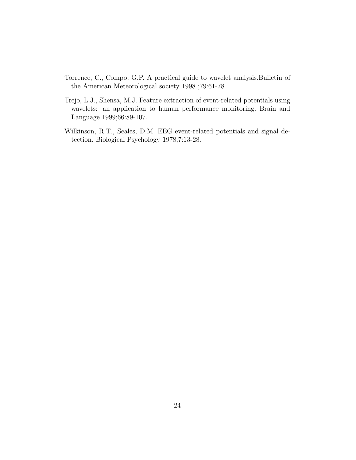- <span id="page-23-2"></span>Torrence, C., Compo, G.P. A practical guide to wavelet analysis.Bulletin of the American Meteorological society 1998 ;79:61-78.
- <span id="page-23-1"></span>Trejo, L.J., Shensa, M.J. Feature extraction of event-related potentials using wavelets: an application to human performance monitoring. Brain and Language 1999;66:89-107.
- <span id="page-23-0"></span>Wilkinson, R.T., Seales, D.M. EEG event-related potentials and signal detection. Biological Psychology 1978;7:13-28.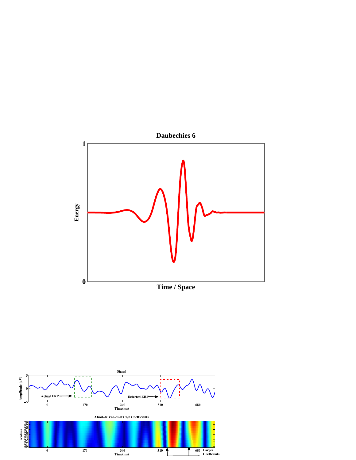

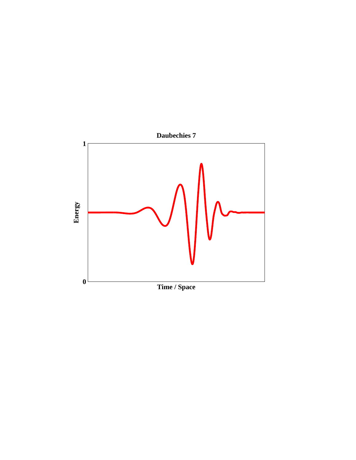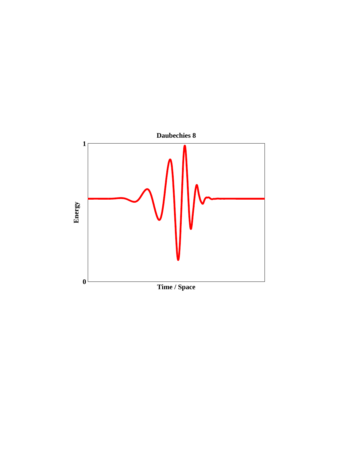